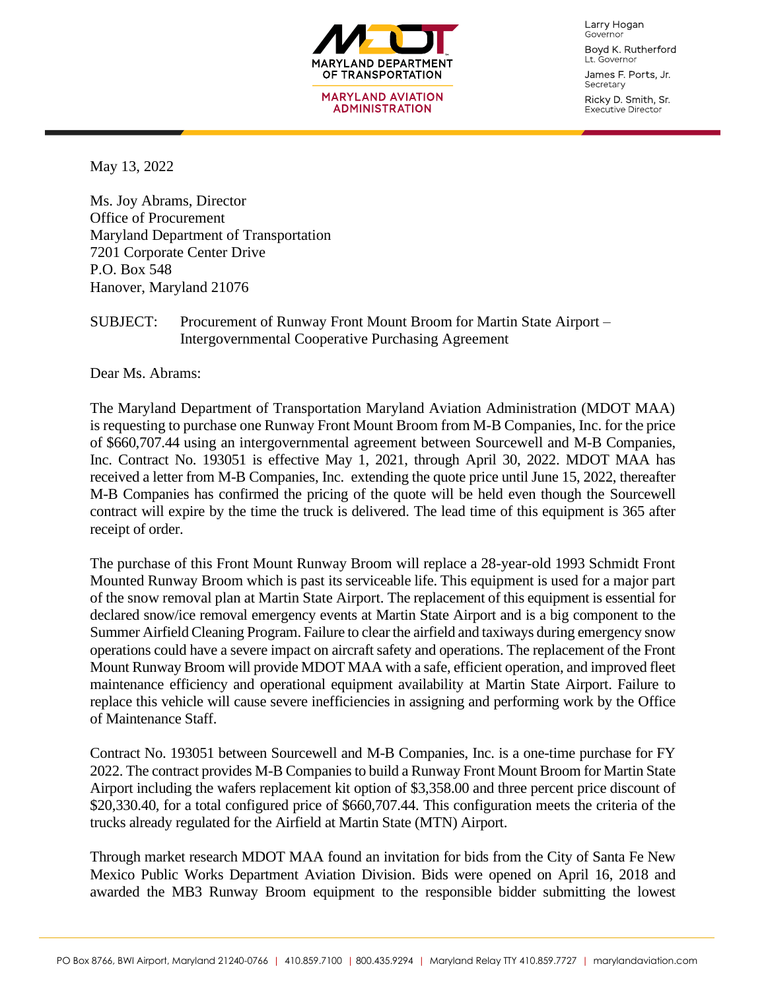

Larry Hogan Governor Boyd K. Rutherford

Lt. Governor James F. Ports, Jr. Secretary

Ricky D. Smith, Sr. Executive Director

May 13, 2022

Ms. Joy Abrams, Director Office of Procurement Maryland Department of Transportation 7201 Corporate Center Drive P.O. Box 548 Hanover, Maryland 21076

## SUBJECT: Procurement of Runway Front Mount Broom for Martin State Airport – Intergovernmental Cooperative Purchasing Agreement

Dear Ms. Abrams:

The Maryland Department of Transportation Maryland Aviation Administration (MDOT MAA) is requesting to purchase one Runway Front Mount Broom from M-B Companies, Inc. for the price of \$660,707.44 using an intergovernmental agreement between Sourcewell and M-B Companies, Inc. Contract No. 193051 is effective May 1, 2021, through April 30, 2022. MDOT MAA has received a letter from M-B Companies, Inc. extending the quote price until June 15, 2022, thereafter M-B Companies has confirmed the pricing of the quote will be held even though the Sourcewell contract will expire by the time the truck is delivered. The lead time of this equipment is 365 after receipt of order.

The purchase of this Front Mount Runway Broom will replace a 28-year-old 1993 Schmidt Front Mounted Runway Broom which is past its serviceable life. This equipment is used for a major part of the snow removal plan at Martin State Airport. The replacement of this equipment is essential for declared snow/ice removal emergency events at Martin State Airport and is a big component to the Summer Airfield Cleaning Program. Failure to clear the airfield and taxiways during emergency snow operations could have a severe impact on aircraft safety and operations. The replacement of the Front Mount Runway Broom will provide MDOT MAA with a safe, efficient operation, and improved fleet maintenance efficiency and operational equipment availability at Martin State Airport. Failure to replace this vehicle will cause severe inefficiencies in assigning and performing work by the Office of Maintenance Staff.

Contract No. 193051 between Sourcewell and M-B Companies, Inc. is a one-time purchase for FY 2022. The contract provides M-B Companies to build a Runway Front Mount Broom for Martin State Airport including the wafers replacement kit option of \$3,358.00 and three percent price discount of \$20,330.40, for a total configured price of \$660,707.44. This configuration meets the criteria of the trucks already regulated for the Airfield at Martin State (MTN) Airport.

Through market research MDOT MAA found an invitation for bids from the City of Santa Fe New Mexico Public Works Department Aviation Division. Bids were opened on April 16, 2018 and awarded the MB3 Runway Broom equipment to the responsible bidder submitting the lowest